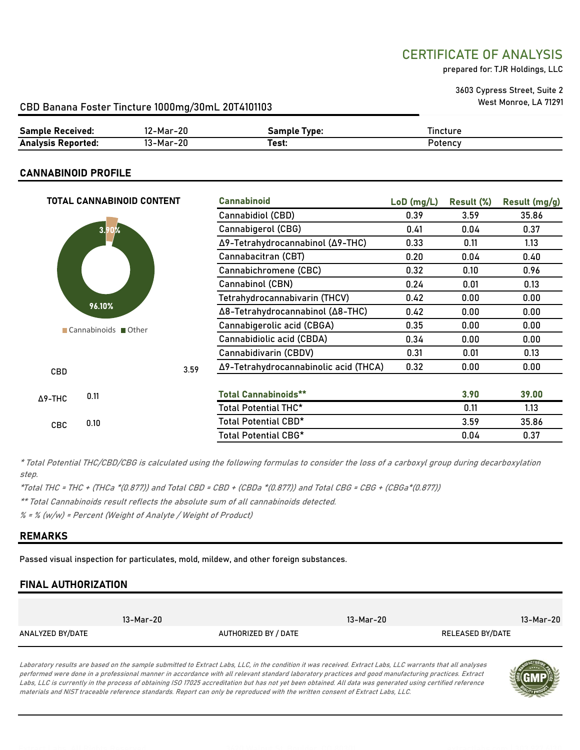## CERTIFICATE OF ANALYSIS

prepared for: TJR Holdings, LLC

3603 Cypress Street, Suite 2 West Monroe, LA 71291

#### CBD Banana Foster Tincture 1000mg/30mL 20T4101103

| <b>Sample Received:</b>   | 2-Mar-20  | Sample Tvpe: | --<br>l incture |
|---------------------------|-----------|--------------|-----------------|
| <b>Analysis Reported:</b> | 13-Mar-20 | Геst:        | Potency         |

#### CANNABINOID PROFILE

| <b>TOTAL CANNABINOID CONTENT</b> |      | <b>Cannabinoid</b>                    | $LoD$ (mg/L) | Result (%) | Result (mg/g) |
|----------------------------------|------|---------------------------------------|--------------|------------|---------------|
|                                  |      | Cannabidiol (CBD)                     | 0.39         | 3.59       | 35.86         |
| 3.90%                            |      | Cannabigerol (CBG)                    | 0.41         | 0.04       | 0.37          |
|                                  |      | Δ9-Tetrahydrocannabinol (Δ9-THC)      | 0.33         | 0.11       | 1.13          |
|                                  |      | Cannabacitran (CBT)                   | 0.20         | 0.04       | 0.40          |
|                                  |      | Cannabichromene (CBC)                 | 0.32         | 0.10       | 0.96          |
|                                  |      | Cannabinol (CBN)                      | 0.24         | 0.01       | 0.13          |
|                                  |      | Tetrahydrocannabivarin (THCV)         | 0.42         | 0.00       | 0.00          |
| 96.10%                           |      | Δ8-Tetrahydrocannabinol (Δ8-THC)      | 0.42         | 0.00       | 0.00          |
| ■ Cannabinoids ■ Other           |      | Cannabigerolic acid (CBGA)            | 0.35         | 0.00       | 0.00          |
|                                  |      | Cannabidiolic acid (CBDA)             | 0.34         | 0.00       | 0.00          |
|                                  |      | Cannabidivarin (CBDV)                 | 0.31         | 0.01       | 0.13          |
| <b>CBD</b>                       | 3.59 | Δ9-Tetrahydrocannabinolic acid (THCA) | 0.32         | 0.00       | 0.00          |
|                                  |      |                                       |              |            |               |
| 0.11<br>$\Delta$ 9-THC           |      | <b>Total Cannabinoids**</b>           |              | 3.90       | 39.00         |
|                                  |      | <b>Total Potential THC*</b>           |              | 0.11       | 1.13          |
| 0.10<br><b>CBC</b>               |      | Total Potential CBD*                  |              | 3.59       | 35.86         |
|                                  |      | <b>Total Potential CBG*</b>           |              | 0.04       | 0.37          |

\* Total Potential THC/CBD/CBG is calculated using the following formulas to consider the loss of a carboxyl group during decarboxylation step.

\*Total THC = THC + (THCa \*(0.877)) and Total CBD = CBD + (CBDa \*(0.877)) and Total CBG = CBG + (CBGa\*(0.877))

\*\* Total Cannabinoids result reflects the absolute sum of all cannabinoids detected.

 $% =$  % (w/w) = Percent (Weight of Analyte / Weight of Product)

#### REMARKS

Passed visual inspection for particulates, mold, mildew, and other foreign substances.

#### FINAL AUTHORIZATION

|                  | 13-Mar-20            | 13-Mar-20 | 13-Mar-20        |
|------------------|----------------------|-----------|------------------|
| ANALYZED BY/DATE | AUTHORIZED BY / DATE |           | RELEASED BY/DATE |

Laboratory results are based on the sample submitted to Extract Labs, LLC, in the condition it was received. Extract Labs, LLC warrants that all analyses performed were done in a professional manner in accordance with all relevant standard laboratory practices and good manufacturing practices. Extract Labs, LLC is currently in the process of obtaining ISO 17025 accreditation but has not yet been obtained. All data was generated using certified reference materials and NIST traceable reference standards. Report can only be reproduced with the written consent of Extract Labs, LLC.

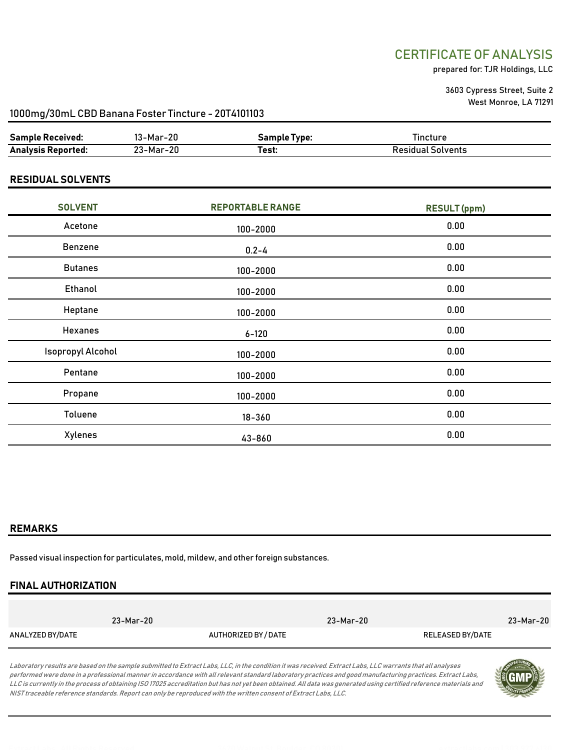## CERTIFICATE OF ANALYSIS

prepared for: TJR Holdings, LLC

3603 Cypress Street, Suite 2 West Monroe, LA 71291

#### 1000mg/30mL CBD Banana Foster Tincture - 20T4101103

| <b>Sample Received:</b>   | 3-Mar-2L  | ∃amnle∶<br>Tvne: | .incture |
|---------------------------|-----------|------------------|----------|
| <b>Analysis Reported:</b> | ∠3-Mar-2Ր | ™est.            | solvents |

#### RESIDUAL SOLVENTS

| <b>SOLVENT</b>    | <b>REPORTABLE RANGE</b> | <b>RESULT</b> (ppm) |
|-------------------|-------------------------|---------------------|
| Acetone           | 100-2000                | 0.00                |
| Benzene           | $0.2 - 4$               | 0.00                |
| <b>Butanes</b>    | $100 - 2000$            | 0.00                |
| Ethanol           | $100 - 2000$            | 0.00                |
| Heptane           | $100 - 2000$            | 0.00                |
| <b>Hexanes</b>    | $6 - 120$               | 0.00                |
| Isopropyl Alcohol | $100 - 2000$            | 0.00                |
| Pentane           | $100 - 2000$            | 0.00                |
| Propane           | 100-2000                | 0.00                |
| Toluene           | $18 - 360$              | 0.00                |
| Xylenes           | 43-860                  | 0.00                |

#### REMARKS

Passed visual inspection for particulates, mold, mildew, and other foreign substances.

### FINAL AUTHORIZATION

|                  | 23-Mar-20 |                      | 23-Mar-20 |                  | 23-Mar-20 |
|------------------|-----------|----------------------|-----------|------------------|-----------|
| ANALYZED BY/DATE |           | AUTHORIZED BY / DATE |           | RELEASED BY/DATE |           |

Laboratory results are based on the sample submitted to Extract Labs, LLC, in the condition it was received. Extract Labs, LLC warrants that all analyses performed were done in a professional manner in accordance with all relevant standard laboratory practices and good manufacturing practices. Extract Labs, LLC is currently in the process of obtaining ISO 17025 accreditation but has not yet been obtained. All data was generated using certified reference materials and NIST traceable reference standards. Report can only be reproduced with the written consent of Extract Labs, LLC.